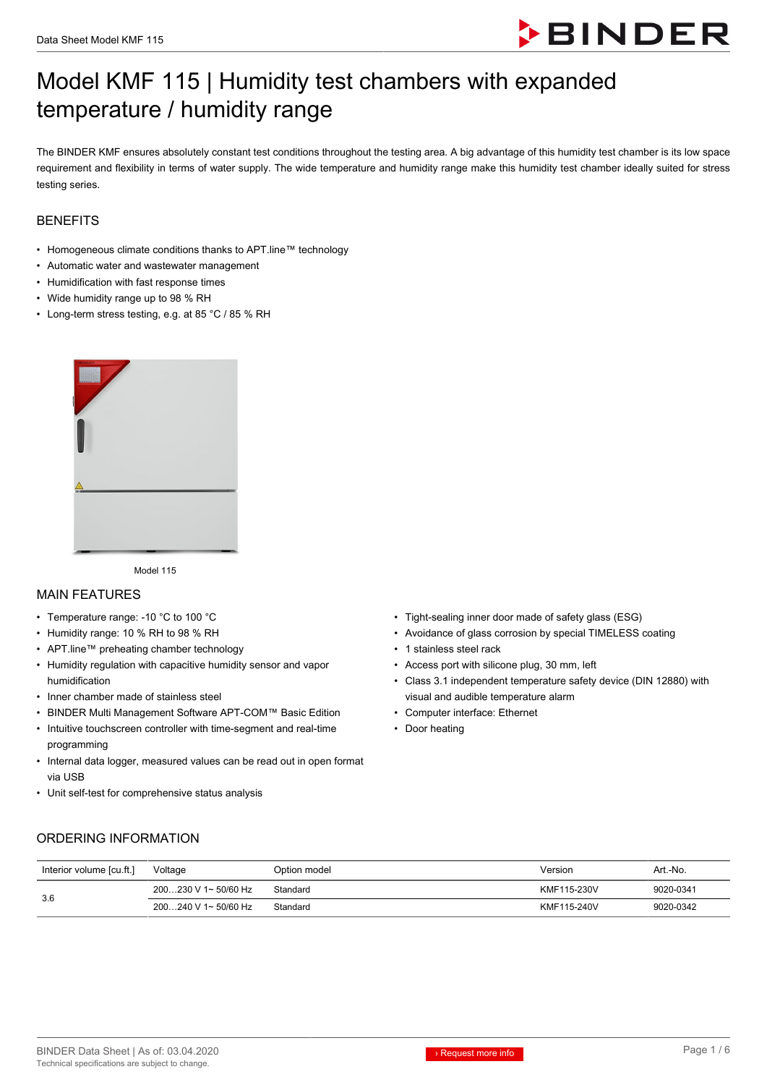

# Model KMF 115 | Humidity test chambers with expanded temperature / humidity range

The BINDER KMF ensures absolutely constant test conditions throughout the testing area. A big advantage of this humidity test chamber is its low space requirement and flexibility in terms of water supply. The wide temperature and humidity range make this humidity test chamber ideally suited for stress testing series.

# **BENEFITS**

- Homogeneous climate conditions thanks to APT.line™ technology
- Automatic water and wastewater management
- Humidification with fast response times
- Wide humidity range up to 98 % RH
- Long-term stress testing, e.g. at 85 °C / 85 % RH



Model 115

# MAIN FEATURES

- Temperature range: -10 °C to 100 °C
- Humidity range: 10 % RH to 98 % RH
- APT.line™ preheating chamber technology
- Humidity regulation with capacitive humidity sensor and vapor humidification
- Inner chamber made of stainless steel
- BINDER Multi Management Software APT-COM™ Basic Edition
- Intuitive touchscreen controller with time-segment and real-time programming
- Internal data logger, measured values can be read out in open format via USB
- Unit self-test for comprehensive status analysis
- Tight-sealing inner door made of safety glass (ESG)
- Avoidance of glass corrosion by special TIMELESS coating
- 1 stainless steel rack
- Access port with silicone plug, 30 mm, left
- Class 3.1 independent temperature safety device (DIN 12880) with visual and audible temperature alarm
- Computer interface: Ethernet
- Door heating

# ORDERING INFORMATION

| Interior volume [cu.ft.] | Voltage              | Option model | Version     | Art.-No.  |
|--------------------------|----------------------|--------------|-------------|-----------|
| 3.6                      | 200230 V 1~ 50/60 Hz | Standard     | KMF115-230V | 9020-0341 |
|                          | 200240 V 1~ 50/60 Hz | Standard     | KMF115-240V | 9020-0342 |

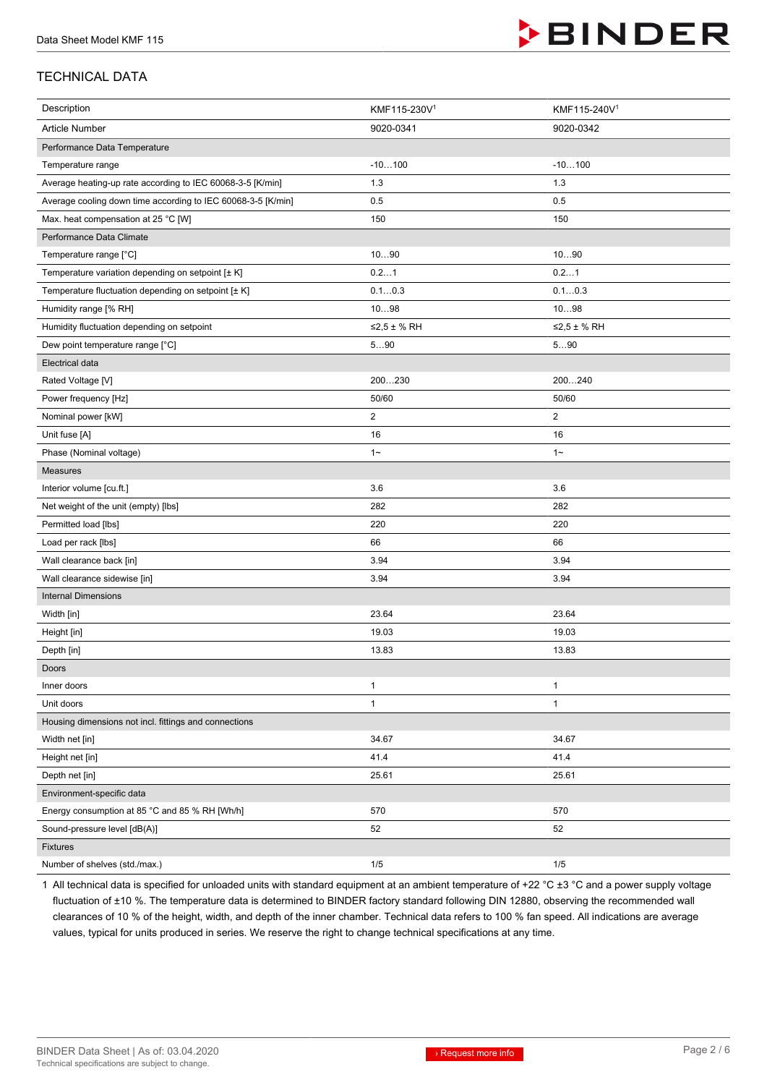

# TECHNICAL DATA

| Description                                                  | KMF115-230V <sup>1</sup> | KMF115-240V1   |
|--------------------------------------------------------------|--------------------------|----------------|
| <b>Article Number</b>                                        | 9020-0341                | 9020-0342      |
| Performance Data Temperature                                 |                          |                |
| Temperature range                                            | $-10100$                 | $-10100$       |
| Average heating-up rate according to IEC 60068-3-5 [K/min]   | 1.3                      | 1.3            |
| Average cooling down time according to IEC 60068-3-5 [K/min] | 0.5                      | 0.5            |
| Max. heat compensation at 25 °C [W]                          | 150                      | 150            |
| Performance Data Climate                                     |                          |                |
| Temperature range [°C]                                       | 1090                     | 1090           |
| Temperature variation depending on setpoint [± K]            | 0.21                     | 0.21           |
| Temperature fluctuation depending on setpoint [± K]          | 0.10.3                   | 0.10.3         |
| Humidity range [% RH]                                        | 1098                     | 1098           |
| Humidity fluctuation depending on setpoint                   | $≤2,5±%$ RH              | $≤2,5±%$ RH    |
| Dew point temperature range [°C]                             | 590                      | 590            |
| Electrical data                                              |                          |                |
| Rated Voltage [V]                                            | 200230                   | 200240         |
| Power frequency [Hz]                                         | 50/60                    | 50/60          |
| Nominal power [kW]                                           | $\overline{2}$           | $\overline{2}$ |
| Unit fuse [A]                                                | 16                       | 16             |
| Phase (Nominal voltage)                                      | $1 -$                    | $1 -$          |
| <b>Measures</b>                                              |                          |                |
| Interior volume [cu.ft.]                                     | 3.6                      | 3.6            |
| Net weight of the unit (empty) [lbs]                         | 282                      | 282            |
| Permitted load [lbs]                                         | 220                      | 220            |
| Load per rack [lbs]                                          | 66                       | 66             |
| Wall clearance back [in]                                     | 3.94                     | 3.94           |
| Wall clearance sidewise [in]                                 | 3.94                     | 3.94           |
| <b>Internal Dimensions</b>                                   |                          |                |
| Width [in]                                                   | 23.64                    | 23.64          |
| Height [in]                                                  | 19.03                    | 19.03          |
| Depth [in]                                                   | 13.83                    | 13.83          |
| Doors                                                        |                          |                |
| Inner doors                                                  | $\mathbf{1}$             | $\mathbf{1}$   |
| Unit doors                                                   | $\mathbf{1}$             | $\mathbf{1}$   |
| Housing dimensions not incl. fittings and connections        |                          |                |
| Width net [in]                                               | 34.67                    | 34.67          |
| Height net [in]                                              | 41.4                     | 41.4           |
| Depth net [in]                                               | 25.61                    | 25.61          |
| Environment-specific data                                    |                          |                |
| Energy consumption at 85 °C and 85 % RH [Wh/h]               | 570                      | 570            |
| Sound-pressure level [dB(A)]                                 | 52                       | 52             |
| Fixtures                                                     |                          |                |
| Number of shelves (std./max.)                                | 1/5                      | 1/5            |

1 All technical data is specified for unloaded units with standard equipment at an ambient temperature of +22 °C ±3 °C and a power supply voltage fluctuation of ±10 %. The temperature data is determined to BINDER factory standard following DIN 12880, observing the recommended wall clearances of 10 % of the height, width, and depth of the inner chamber. Technical data refers to 100 % fan speed. All indications are average values, typical for units produced in series. We reserve the right to change technical specifications at any time.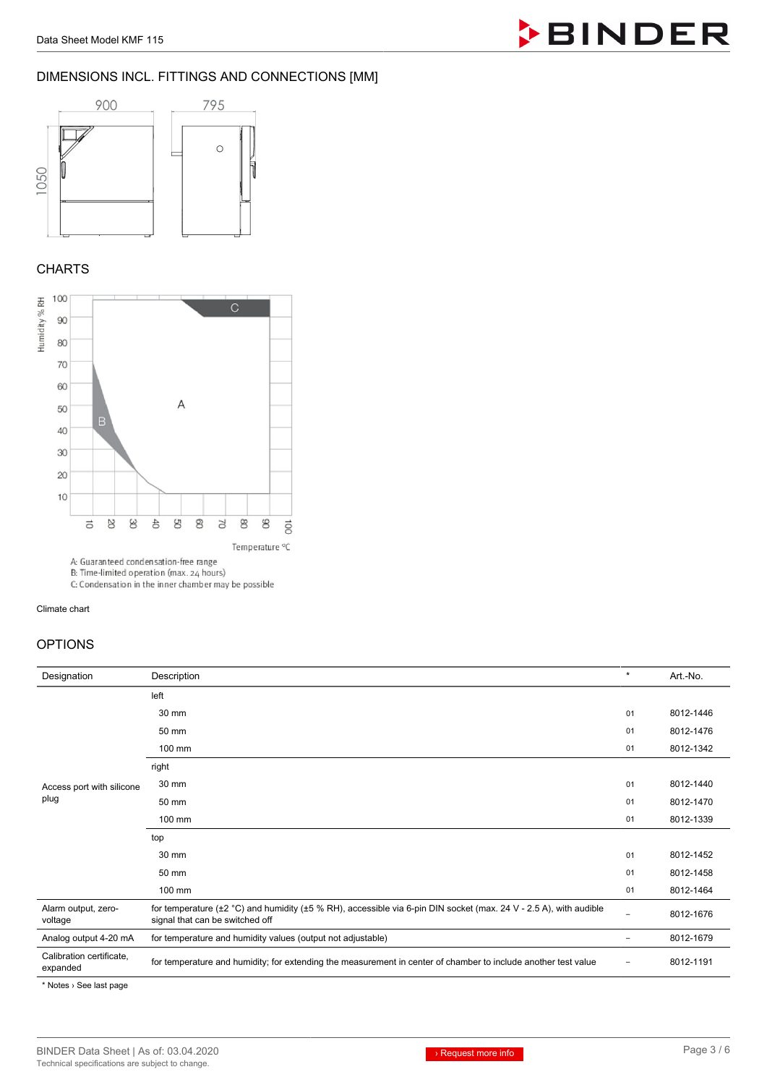

# DIMENSIONS INCL. FITTINGS AND CONNECTIONS [MM]



# **CHARTS**



C: Condensation in the inner chamber may be possible

#### Climate chart

# OPTIONS

| Designation                          | Description                                                                                                                                          | $\pmb{\ast}$      | Art.-No.  |
|--------------------------------------|------------------------------------------------------------------------------------------------------------------------------------------------------|-------------------|-----------|
| Access port with silicone<br>plug    | left                                                                                                                                                 |                   |           |
|                                      | 30 mm                                                                                                                                                | 01                | 8012-1446 |
|                                      | 50 mm                                                                                                                                                | 01                | 8012-1476 |
|                                      | 100 mm                                                                                                                                               | 01                | 8012-1342 |
|                                      | right                                                                                                                                                |                   |           |
|                                      | 30 mm                                                                                                                                                | 01                | 8012-1440 |
|                                      | 50 mm                                                                                                                                                | 01                | 8012-1470 |
|                                      | 100 mm                                                                                                                                               | 01                | 8012-1339 |
|                                      | top                                                                                                                                                  |                   |           |
|                                      | 30 mm                                                                                                                                                | 01                | 8012-1452 |
|                                      | 50 mm                                                                                                                                                | 01                | 8012-1458 |
|                                      | 100 mm                                                                                                                                               | 01                | 8012-1464 |
| Alarm output, zero-<br>voltage       | for temperature (±2 °C) and humidity (±5 % RH), accessible via 6-pin DIN socket (max. 24 V - 2.5 A), with audible<br>signal that can be switched off | $\qquad \qquad -$ | 8012-1676 |
| Analog output 4-20 mA                | for temperature and humidity values (output not adjustable)                                                                                          | $\qquad \qquad -$ | 8012-1679 |
| Calibration certificate,<br>expanded | for temperature and humidity; for extending the measurement in center of chamber to include another test value                                       | ۰                 | 8012-1191 |
|                                      |                                                                                                                                                      |                   |           |

\* Notes › See last page

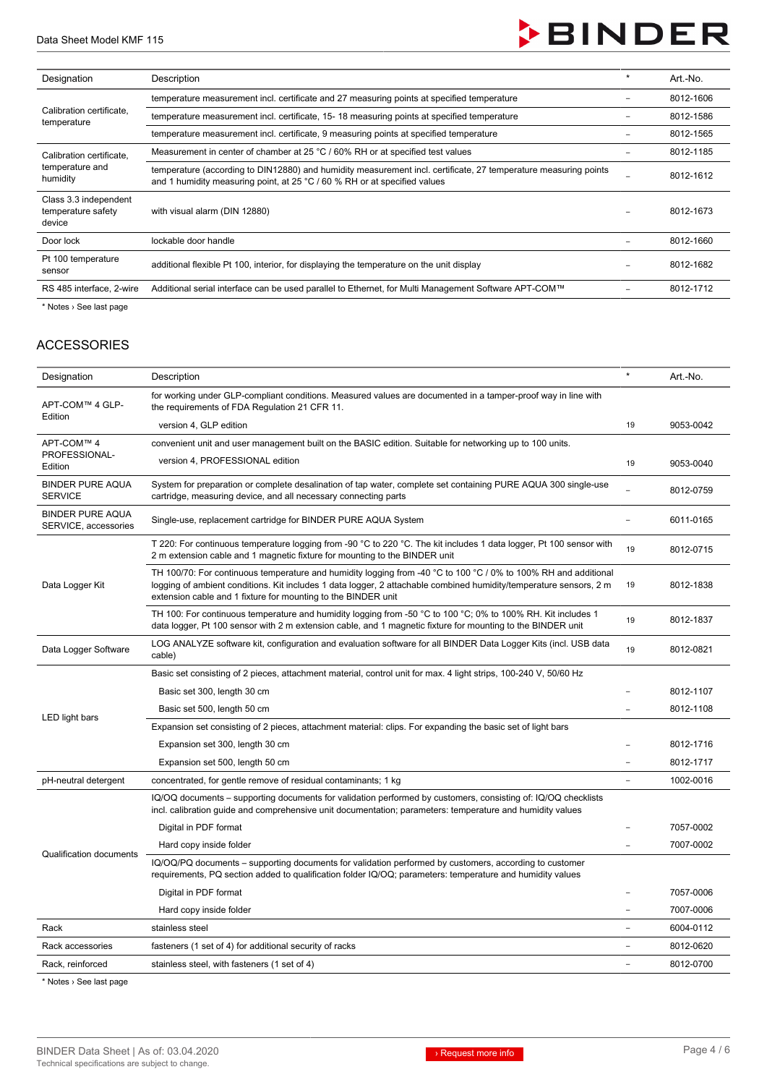Data Sheet Model KMF 115



| Designation                                             | Description                                                                                                                                                                                            | $\mathbf{r}$ | Art.-No.  |
|---------------------------------------------------------|--------------------------------------------------------------------------------------------------------------------------------------------------------------------------------------------------------|--------------|-----------|
| Calibration certificate.<br>temperature                 | temperature measurement incl. certificate and 27 measuring points at specified temperature                                                                                                             |              | 8012-1606 |
|                                                         | temperature measurement incl. certificate, 15-18 measuring points at specified temperature                                                                                                             |              | 8012-1586 |
|                                                         | temperature measurement incl. certificate, 9 measuring points at specified temperature                                                                                                                 |              | 8012-1565 |
| Calibration certificate.<br>temperature and<br>humidity | Measurement in center of chamber at 25 °C / 60% RH or at specified test values                                                                                                                         |              | 8012-1185 |
|                                                         | temperature (according to DIN12880) and humidity measurement incl. certificate, 27 temperature measuring points<br>and 1 humidity measuring point, at 25 $^{\circ}$ C / 60 % RH or at specified values |              | 8012-1612 |
| Class 3.3 independent<br>temperature safety<br>device   | with visual alarm (DIN 12880)                                                                                                                                                                          |              | 8012-1673 |
| Door lock                                               | lockable door handle                                                                                                                                                                                   |              | 8012-1660 |
| Pt 100 temperature<br>sensor                            | additional flexible Pt 100, interior, for displaying the temperature on the unit display                                                                                                               |              | 8012-1682 |
| RS 485 interface, 2-wire                                | Additional serial interface can be used parallel to Ethernet, for Multi Management Software APT-COM™                                                                                                   |              | 8012-1712 |
|                                                         |                                                                                                                                                                                                        |              |           |

\* Notes › See last page

# ACCESSORIES

| Designation                                     | Description                                                                                                                                                                                                                                                                                            | $\star$  | Art.-No.  |
|-------------------------------------------------|--------------------------------------------------------------------------------------------------------------------------------------------------------------------------------------------------------------------------------------------------------------------------------------------------------|----------|-----------|
| APT-COM™ 4 GLP-                                 | for working under GLP-compliant conditions. Measured values are documented in a tamper-proof way in line with<br>the requirements of FDA Regulation 21 CFR 11.                                                                                                                                         |          |           |
| Edition                                         | version 4, GLP edition                                                                                                                                                                                                                                                                                 | 19       | 9053-0042 |
| APT-COM™ 4                                      | convenient unit and user management built on the BASIC edition. Suitable for networking up to 100 units.                                                                                                                                                                                               |          |           |
| PROFESSIONAL-<br>Edition                        | version 4, PROFESSIONAL edition                                                                                                                                                                                                                                                                        | 19       | 9053-0040 |
| <b>BINDER PURE AQUA</b><br><b>SERVICE</b>       | System for preparation or complete desalination of tap water, complete set containing PURE AQUA 300 single-use<br>cartridge, measuring device, and all necessary connecting parts                                                                                                                      |          | 8012-0759 |
| <b>BINDER PURE AQUA</b><br>SERVICE, accessories | Single-use, replacement cartridge for BINDER PURE AQUA System                                                                                                                                                                                                                                          |          | 6011-0165 |
|                                                 | T 220: For continuous temperature logging from -90 °C to 220 °C. The kit includes 1 data logger, Pt 100 sensor with<br>2 m extension cable and 1 magnetic fixture for mounting to the BINDER unit                                                                                                      | 19       | 8012-0715 |
| Data Logger Kit                                 | TH 100/70: For continuous temperature and humidity logging from -40 °C to 100 °C / 0% to 100% RH and additional<br>logging of ambient conditions. Kit includes 1 data logger, 2 attachable combined humidity/temperature sensors, 2 m<br>extension cable and 1 fixture for mounting to the BINDER unit | 19       | 8012-1838 |
|                                                 | TH 100: For continuous temperature and humidity logging from -50 °C to 100 °C; 0% to 100% RH. Kit includes 1<br>data logger, Pt 100 sensor with 2 m extension cable, and 1 magnetic fixture for mounting to the BINDER unit                                                                            | 19       | 8012-1837 |
| Data Logger Software                            | LOG ANALYZE software kit, configuration and evaluation software for all BINDER Data Logger Kits (incl. USB data<br>cable)                                                                                                                                                                              | 19       | 8012-0821 |
|                                                 | Basic set consisting of 2 pieces, attachment material, control unit for max. 4 light strips, 100-240 V, 50/60 Hz                                                                                                                                                                                       |          |           |
|                                                 | Basic set 300, length 30 cm                                                                                                                                                                                                                                                                            |          | 8012-1107 |
|                                                 | Basic set 500, length 50 cm                                                                                                                                                                                                                                                                            |          | 8012-1108 |
| LED light bars                                  | Expansion set consisting of 2 pieces, attachment material: clips. For expanding the basic set of light bars                                                                                                                                                                                            |          |           |
|                                                 | Expansion set 300, length 30 cm                                                                                                                                                                                                                                                                        |          | 8012-1716 |
|                                                 | Expansion set 500, length 50 cm                                                                                                                                                                                                                                                                        |          | 8012-1717 |
| pH-neutral detergent                            | concentrated, for gentle remove of residual contaminants; 1 kg                                                                                                                                                                                                                                         |          | 1002-0016 |
|                                                 | IQ/OQ documents – supporting documents for validation performed by customers, consisting of: IQ/OQ checklists<br>incl. calibration guide and comprehensive unit documentation; parameters: temperature and humidity values                                                                             |          |           |
|                                                 | Digital in PDF format                                                                                                                                                                                                                                                                                  |          | 7057-0002 |
|                                                 | Hard copy inside folder                                                                                                                                                                                                                                                                                | $\equiv$ | 7007-0002 |
| Qualification documents                         | IQ/OQ/PQ documents – supporting documents for validation performed by customers, according to customer<br>requirements, PQ section added to qualification folder IQ/OQ; parameters: temperature and humidity values                                                                                    |          |           |
|                                                 | Digital in PDF format                                                                                                                                                                                                                                                                                  |          | 7057-0006 |
|                                                 | Hard copy inside folder                                                                                                                                                                                                                                                                                |          | 7007-0006 |
| Rack                                            | stainless steel                                                                                                                                                                                                                                                                                        |          | 6004-0112 |
| Rack accessories                                | fasteners (1 set of 4) for additional security of racks                                                                                                                                                                                                                                                |          | 8012-0620 |
| Rack, reinforced                                | stainless steel, with fasteners (1 set of 4)                                                                                                                                                                                                                                                           |          | 8012-0700 |
|                                                 |                                                                                                                                                                                                                                                                                                        |          |           |

\* Notes › See last page

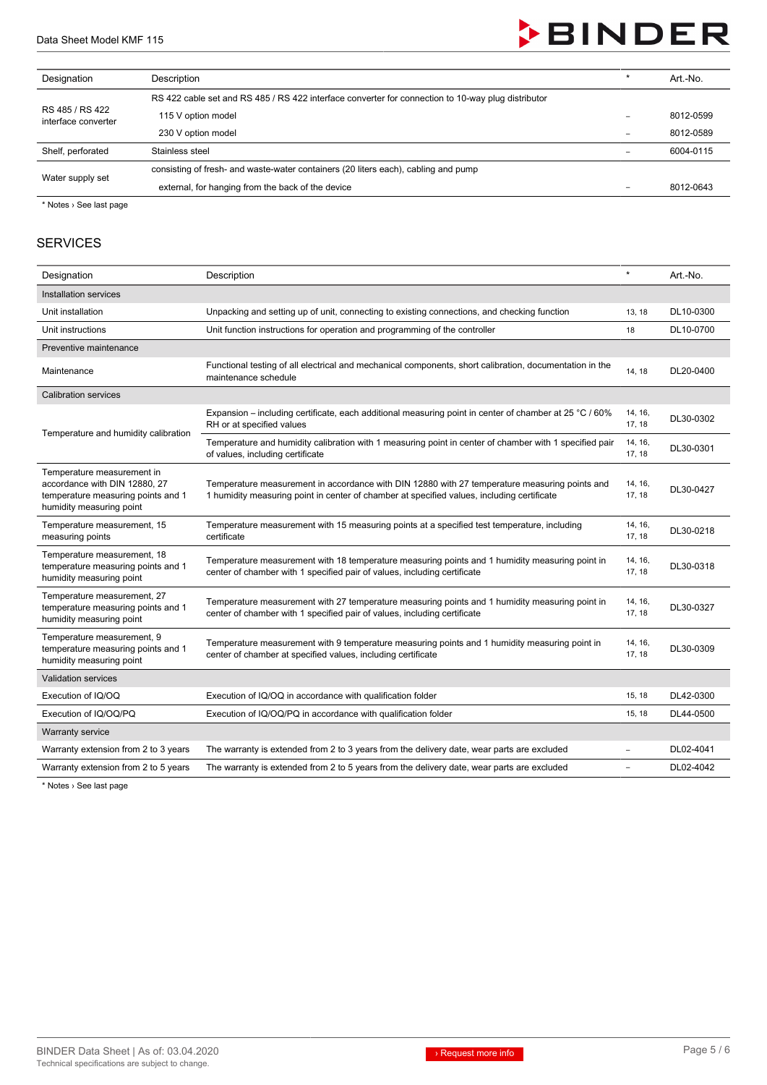Data Sheet Model KMF 115

# **BINDER**

| Designation                            | Description                                                                                        |   | Art.-No.  |
|----------------------------------------|----------------------------------------------------------------------------------------------------|---|-----------|
| RS 485 / RS 422<br>interface converter | RS 422 cable set and RS 485 / RS 422 interface converter for connection to 10-way plug distributor |   |           |
|                                        | 115 V option model                                                                                 |   | 8012-0599 |
|                                        | 230 V option model                                                                                 | - | 8012-0589 |
| Shelf, perforated                      | Stainless steel                                                                                    |   | 6004-0115 |
| Water supply set                       | consisting of fresh- and waste-water containers (20 liters each), cabling and pump                 |   |           |
|                                        | external, for hanging from the back of the device                                                  | - | 8012-0643 |

\* Notes › See last page

# **SERVICES**

| Designation                                                                                                                   | Description                                                                                                                                                                                 | $\star$                  | Art.-No.  |
|-------------------------------------------------------------------------------------------------------------------------------|---------------------------------------------------------------------------------------------------------------------------------------------------------------------------------------------|--------------------------|-----------|
| Installation services                                                                                                         |                                                                                                                                                                                             |                          |           |
| Unit installation                                                                                                             | Unpacking and setting up of unit, connecting to existing connections, and checking function                                                                                                 | 13, 18                   | DL10-0300 |
| Unit instructions                                                                                                             | Unit function instructions for operation and programming of the controller                                                                                                                  | 18                       | DL10-0700 |
| Preventive maintenance                                                                                                        |                                                                                                                                                                                             |                          |           |
| Maintenance                                                                                                                   | Functional testing of all electrical and mechanical components, short calibration, documentation in the<br>maintenance schedule                                                             | 14.18                    | DL20-0400 |
| <b>Calibration services</b>                                                                                                   |                                                                                                                                                                                             |                          |           |
|                                                                                                                               | Expansion – including certificate, each additional measuring point in center of chamber at 25 °C / 60%<br>RH or at specified values                                                         | 14, 16,<br>17, 18        | DL30-0302 |
| Temperature and humidity calibration                                                                                          | Temperature and humidity calibration with 1 measuring point in center of chamber with 1 specified pair<br>of values, including certificate                                                  | 14, 16,<br>17, 18        | DL30-0301 |
| Temperature measurement in<br>accordance with DIN 12880, 27<br>temperature measuring points and 1<br>humidity measuring point | Temperature measurement in accordance with DIN 12880 with 27 temperature measuring points and<br>1 humidity measuring point in center of chamber at specified values, including certificate | 14, 16,<br>17, 18        | DL30-0427 |
| Temperature measurement, 15<br>measuring points                                                                               | Temperature measurement with 15 measuring points at a specified test temperature, including<br>certificate                                                                                  | 14, 16,<br>17, 18        | DL30-0218 |
| Temperature measurement, 18<br>temperature measuring points and 1<br>humidity measuring point                                 | Temperature measurement with 18 temperature measuring points and 1 humidity measuring point in<br>center of chamber with 1 specified pair of values, including certificate                  | 14, 16,<br>17, 18        | DL30-0318 |
| Temperature measurement, 27<br>temperature measuring points and 1<br>humidity measuring point                                 | Temperature measurement with 27 temperature measuring points and 1 humidity measuring point in<br>center of chamber with 1 specified pair of values, including certificate                  | 14, 16,<br>17, 18        | DL30-0327 |
| Temperature measurement, 9<br>temperature measuring points and 1<br>humidity measuring point                                  | Temperature measurement with 9 temperature measuring points and 1 humidity measuring point in<br>center of chamber at specified values, including certificate                               | 14, 16,<br>17, 18        | DL30-0309 |
| <b>Validation services</b>                                                                                                    |                                                                                                                                                                                             |                          |           |
| Execution of IQ/OQ                                                                                                            | Execution of IQ/OQ in accordance with qualification folder                                                                                                                                  | 15, 18                   | DL42-0300 |
| Execution of IQ/OQ/PQ                                                                                                         | Execution of IQ/OQ/PQ in accordance with qualification folder                                                                                                                               | 15, 18                   | DL44-0500 |
| <b>Warranty service</b>                                                                                                       |                                                                                                                                                                                             |                          |           |
| Warranty extension from 2 to 3 years                                                                                          | The warranty is extended from 2 to 3 years from the delivery date, wear parts are excluded                                                                                                  | $\overline{\phantom{a}}$ | DL02-4041 |
| Warranty extension from 2 to 5 years                                                                                          | The warranty is extended from 2 to 5 years from the delivery date, wear parts are excluded                                                                                                  |                          | DL02-4042 |

\* Notes › See last page